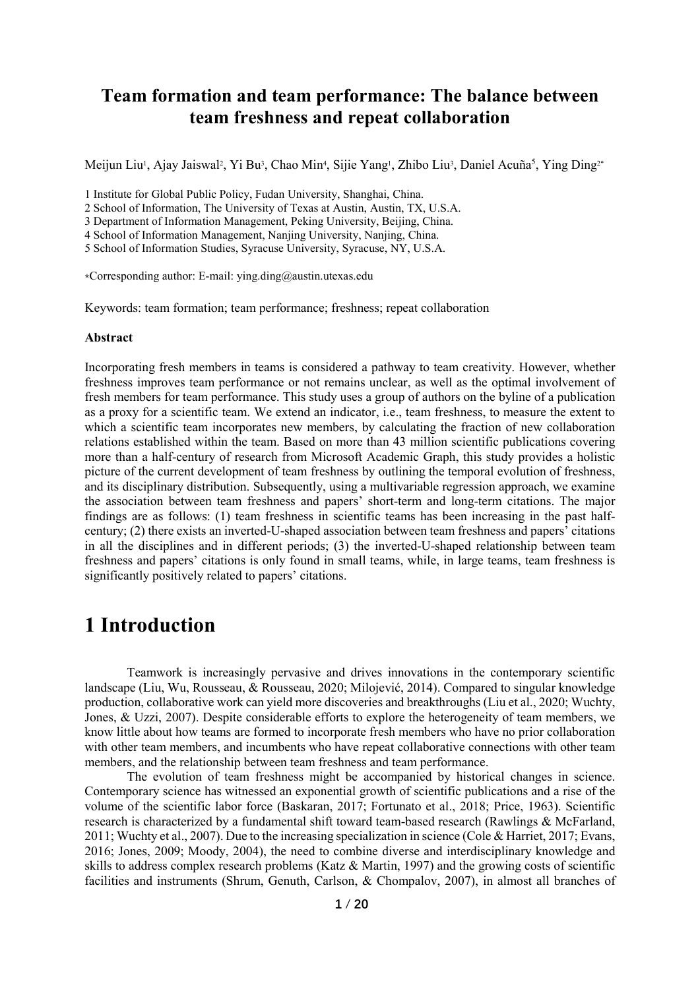### **Team formation and team performance: The balance between team freshness and repeat collaboration**

Meijun Liu<sup>1</sup>, Ajay Jaiswal<sup>2</sup>, Yi Bu<sup>3</sup>, Chao Min<sup>4</sup>, Sijie Yang<sup>1</sup>, Zhibo Liu<sup>3</sup>, Daniel Acuña<sup>5</sup>, Ying Ding<sup>2\*</sup>

1 Institute for Global Public Policy, Fudan University, Shanghai, China.

2 School of Information, The University of Texas at Austin, Austin, TX, U.S.A.

3 Department of Information Management, Peking University, Beijing, China.

4 School of Information Management, Nanjing University, Nanjing, China.

5 School of Information Studies, Syracuse University, Syracuse, NY, U.S.A.

\*Corresponding author: E-mail: ying.ding@austin.utexas.edu

Keywords: team formation; team performance; freshness; repeat collaboration

#### **Abstract**

Incorporating fresh members in teams is considered a pathway to team creativity. However, whether freshness improves team performance or not remains unclear, as well as the optimal involvement of fresh members for team performance. This study uses a group of authors on the byline of a publication as a proxy for a scientific team. We extend an indicator, i.e., team freshness, to measure the extent to which a scientific team incorporates new members, by calculating the fraction of new collaboration relations established within the team. Based on more than 43 million scientific publications covering more than a half-century of research from Microsoft Academic Graph, this study provides a holistic picture of the current development of team freshness by outlining the temporal evolution of freshness, and its disciplinary distribution. Subsequently, using a multivariable regression approach, we examine the association between team freshness and papers' short-term and long-term citations. The major findings are as follows: (1) team freshness in scientific teams has been increasing in the past halfcentury; (2) there exists an inverted-U-shaped association between team freshness and papers' citations in all the disciplines and in different periods; (3) the inverted-U-shaped relationship between team freshness and papers' citations is only found in small teams, while, in large teams, team freshness is significantly positively related to papers' citations.

## **1 Introduction**

Teamwork is increasingly pervasive and drives innovations in the contemporary scientific landscape (Liu, Wu, Rousseau, & Rousseau, 2020; Milojević, 2014). Compared to singular knowledge production, collaborative work can yield more discoveries and breakthroughs (Liu et al., 2020; Wuchty, Jones, & Uzzi, 2007). Despite considerable efforts to explore the heterogeneity of team members, we know little about how teams are formed to incorporate fresh members who have no prior collaboration with other team members, and incumbents who have repeat collaborative connections with other team members, and the relationship between team freshness and team performance.

The evolution of team freshness might be accompanied by historical changes in science. Contemporary science has witnessed an exponential growth of scientific publications and a rise of the volume of the scientific labor force (Baskaran, 2017; Fortunato et al., 2018; Price, 1963). Scientific research is characterized by a fundamental shift toward team-based research (Rawlings & McFarland, 2011; Wuchty et al., 2007). Due to the increasing specialization in science (Cole & Harriet, 2017; Evans, 2016; Jones, 2009; Moody, 2004), the need to combine diverse and interdisciplinary knowledge and skills to address complex research problems (Katz & Martin, 1997) and the growing costs of scientific facilities and instruments (Shrum, Genuth, Carlson, & Chompalov, 2007), in almost all branches of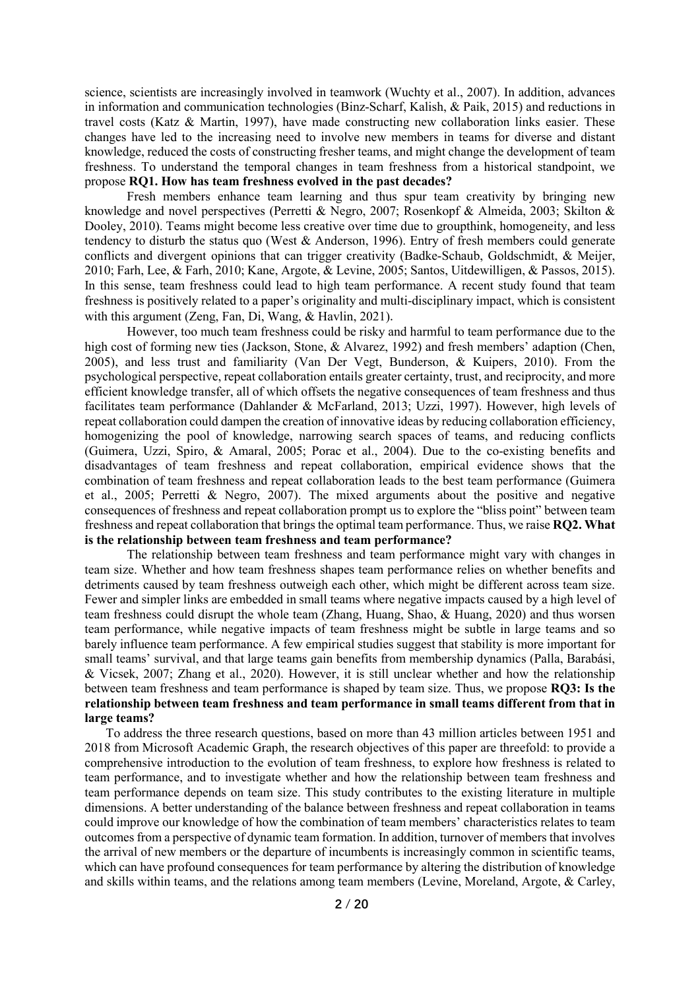science, scientists are increasingly involved in teamwork (Wuchty et al., 2007). In addition, advances in information and communication technologies (Binz-Scharf, Kalish, & Paik, 2015) and reductions in travel costs (Katz & Martin, 1997), have made constructing new collaboration links easier. These changes have led to the increasing need to involve new members in teams for diverse and distant knowledge, reduced the costs of constructing fresher teams, and might change the development of team freshness. To understand the temporal changes in team freshness from a historical standpoint, we propose **RQ1. How has team freshness evolved in the past decades?**

Fresh members enhance team learning and thus spur team creativity by bringing new knowledge and novel perspectives (Perretti & Negro, 2007; Rosenkopf & Almeida, 2003; Skilton & Dooley, 2010). Teams might become less creative over time due to groupthink, homogeneity, and less tendency to disturb the status quo (West & Anderson, 1996). Entry of fresh members could generate conflicts and divergent opinions that can trigger creativity (Badke‐Schaub, Goldschmidt, & Meijer, 2010; Farh, Lee, & Farh, 2010; Kane, Argote, & Levine, 2005; Santos, Uitdewilligen, & Passos, 2015). In this sense, team freshness could lead to high team performance. A recent study found that team freshness is positively related to a paper's originality and multi-disciplinary impact, which is consistent with this argument (Zeng, Fan, Di, Wang, & Havlin, 2021).

However, too much team freshness could be risky and harmful to team performance due to the high cost of forming new ties (Jackson, Stone, & Alvarez, 1992) and fresh members' adaption (Chen, 2005), and less trust and familiarity (Van Der Vegt, Bunderson, & Kuipers, 2010). From the psychological perspective, repeat collaboration entails greater certainty, trust, and reciprocity, and more efficient knowledge transfer, all of which offsets the negative consequences of team freshness and thus facilitates team performance (Dahlander & McFarland, 2013; Uzzi, 1997). However, high levels of repeat collaboration could dampen the creation of innovative ideas by reducing collaboration efficiency, homogenizing the pool of knowledge, narrowing search spaces of teams, and reducing conflicts (Guimera, Uzzi, Spiro, & Amaral, 2005; Porac et al., 2004). Due to the co-existing benefits and disadvantages of team freshness and repeat collaboration, empirical evidence shows that the combination of team freshness and repeat collaboration leads to the best team performance (Guimera et al., 2005; Perretti & Negro, 2007). The mixed arguments about the positive and negative consequences of freshness and repeat collaboration prompt us to explore the "bliss point" between team freshness and repeat collaboration that brings the optimal team performance. Thus, we raise **RQ2. What is the relationship between team freshness and team performance?**

The relationship between team freshness and team performance might vary with changes in team size. Whether and how team freshness shapes team performance relies on whether benefits and detriments caused by team freshness outweigh each other, which might be different across team size. Fewer and simpler links are embedded in small teams where negative impacts caused by a high level of team freshness could disrupt the whole team (Zhang, Huang, Shao, & Huang, 2020) and thus worsen team performance, while negative impacts of team freshness might be subtle in large teams and so barely influence team performance. A few empirical studies suggest that stability is more important for small teams' survival, and that large teams gain benefits from membership dynamics (Palla, Barabási, & Vicsek, 2007; Zhang et al., 2020). However, it is still unclear whether and how the relationship between team freshness and team performance is shaped by team size. Thus, we propose **RQ3: Is the relationship between team freshness and team performance in small teams different from that in large teams?**

To address the three research questions, based on more than 43 million articles between 1951 and 2018 from Microsoft Academic Graph, the research objectives of this paper are threefold: to provide a comprehensive introduction to the evolution of team freshness, to explore how freshness is related to team performance, and to investigate whether and how the relationship between team freshness and team performance depends on team size. This study contributes to the existing literature in multiple dimensions. A better understanding of the balance between freshness and repeat collaboration in teams could improve our knowledge of how the combination of team members' characteristics relates to team outcomes from a perspective of dynamic team formation. In addition, turnover of members that involves the arrival of new members or the departure of incumbents is increasingly common in scientific teams, which can have profound consequences for team performance by altering the distribution of knowledge and skills within teams, and the relations among team members (Levine, Moreland, Argote, & Carley,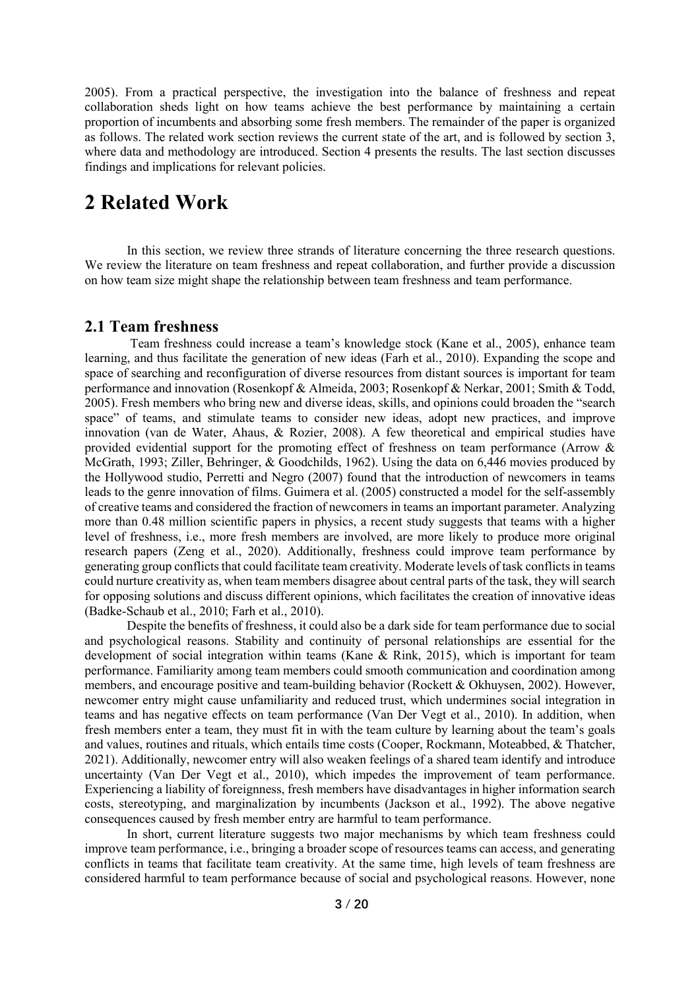2005). From a practical perspective, the investigation into the balance of freshness and repeat collaboration sheds light on how teams achieve the best performance by maintaining a certain proportion of incumbents and absorbing some fresh members. The remainder of the paper is organized as follows. The related work section reviews the current state of the art, and is followed by section 3, where data and methodology are introduced. Section 4 presents the results. The last section discusses findings and implications for relevant policies.

## **2 Related Work**

In this section, we review three strands of literature concerning the three research questions. We review the literature on team freshness and repeat collaboration, and further provide a discussion on how team size might shape the relationship between team freshness and team performance.

### **2.1 Team freshness**

Team freshness could increase a team's knowledge stock (Kane et al., 2005), enhance team learning, and thus facilitate the generation of new ideas (Farh et al., 2010). Expanding the scope and space of searching and reconfiguration of diverse resources from distant sources is important for team performance and innovation (Rosenkopf & Almeida, 2003; Rosenkopf & Nerkar, 2001; Smith & Todd, 2005). Fresh members who bring new and diverse ideas, skills, and opinions could broaden the "search space" of teams, and stimulate teams to consider new ideas, adopt new practices, and improve innovation (van de Water, Ahaus, & Rozier, 2008). A few theoretical and empirical studies have provided evidential support for the promoting effect of freshness on team performance (Arrow & McGrath, 1993; Ziller, Behringer, & Goodchilds, 1962). Using the data on 6,446 movies produced by the Hollywood studio, Perretti and Negro (2007) found that the introduction of newcomers in teams leads to the genre innovation of films. Guimera et al. (2005) constructed a model for the self-assembly of creative teams and considered the fraction of newcomers in teams an important parameter. Analyzing more than 0.48 million scientific papers in physics, a recent study suggests that teams with a higher level of freshness, i.e., more fresh members are involved, are more likely to produce more original research papers (Zeng et al., 2020). Additionally, freshness could improve team performance by generating group conflicts that could facilitate team creativity. Moderate levels of task conflictsin teams could nurture creativity as, when team members disagree about central parts of the task, they will search for opposing solutions and discuss different opinions, which facilitates the creation of innovative ideas (Badke‐Schaub et al., 2010; Farh et al., 2010).

Despite the benefits of freshness, it could also be a dark side for team performance due to social and psychological reasons. Stability and continuity of personal relationships are essential for the development of social integration within teams (Kane & Rink, 2015), which is important for team performance. Familiarity among team members could smooth communication and coordination among members, and encourage positive and team-building behavior (Rockett & Okhuysen, 2002). However, newcomer entry might cause unfamiliarity and reduced trust, which undermines social integration in teams and has negative effects on team performance (Van Der Vegt et al., 2010). In addition, when fresh members enter a team, they must fit in with the team culture by learning about the team's goals and values, routines and rituals, which entails time costs (Cooper, Rockmann, Moteabbed, & Thatcher, 2021). Additionally, newcomer entry will also weaken feelings of a shared team identify and introduce uncertainty (Van Der Vegt et al., 2010), which impedes the improvement of team performance. Experiencing a liability of foreignness, fresh members have disadvantages in higher information search costs, stereotyping, and marginalization by incumbents (Jackson et al., 1992). The above negative consequences caused by fresh member entry are harmful to team performance.

In short, current literature suggests two major mechanisms by which team freshness could improve team performance, i.e., bringing a broader scope of resources teams can access, and generating conflicts in teams that facilitate team creativity. At the same time, high levels of team freshness are considered harmful to team performance because of social and psychological reasons. However, none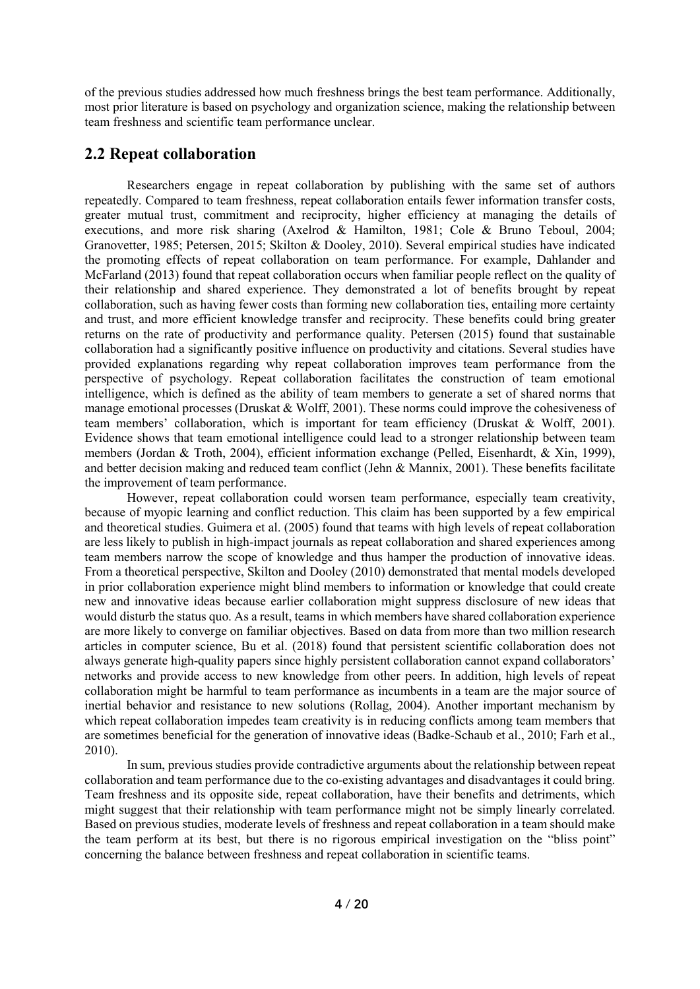of the previous studies addressed how much freshness brings the best team performance. Additionally, most prior literature is based on psychology and organization science, making the relationship between team freshness and scientific team performance unclear.

### **2.2 Repeat collaboration**

Researchers engage in repeat collaboration by publishing with the same set of authors repeatedly. Compared to team freshness, repeat collaboration entails fewer information transfer costs, greater mutual trust, commitment and reciprocity, higher efficiency at managing the details of executions, and more risk sharing (Axelrod & Hamilton, 1981; Cole & Bruno Teboul, 2004; Granovetter, 1985; Petersen, 2015; Skilton & Dooley, 2010). Several empirical studies have indicated the promoting effects of repeat collaboration on team performance. For example, Dahlander and McFarland (2013) found that repeat collaboration occurs when familiar people reflect on the quality of their relationship and shared experience. They demonstrated a lot of benefits brought by repeat collaboration, such as having fewer costs than forming new collaboration ties, entailing more certainty and trust, and more efficient knowledge transfer and reciprocity. These benefits could bring greater returns on the rate of productivity and performance quality. Petersen (2015) found that sustainable collaboration had a significantly positive influence on productivity and citations. Several studies have provided explanations regarding why repeat collaboration improves team performance from the perspective of psychology. Repeat collaboration facilitates the construction of team emotional intelligence, which is defined as the ability of team members to generate a set of shared norms that manage emotional processes (Druskat & Wolff, 2001). These norms could improve the cohesiveness of team members' collaboration, which is important for team efficiency (Druskat & Wolff, 2001). Evidence shows that team emotional intelligence could lead to a stronger relationship between team members (Jordan & Troth, 2004), efficient information exchange (Pelled, Eisenhardt, & Xin, 1999), and better decision making and reduced team conflict (Jehn & Mannix, 2001). These benefits facilitate the improvement of team performance.

However, repeat collaboration could worsen team performance, especially team creativity, because of myopic learning and conflict reduction. This claim has been supported by a few empirical and theoretical studies. Guimera et al. (2005) found that teams with high levels of repeat collaboration are less likely to publish in high-impact journals as repeat collaboration and shared experiences among team members narrow the scope of knowledge and thus hamper the production of innovative ideas. From a theoretical perspective, Skilton and Dooley (2010) demonstrated that mental models developed in prior collaboration experience might blind members to information or knowledge that could create new and innovative ideas because earlier collaboration might suppress disclosure of new ideas that would disturb the status quo. As a result, teams in which members have shared collaboration experience are more likely to converge on familiar objectives. Based on data from more than two million research articles in computer science, Bu et al. (2018) found that persistent scientific collaboration does not always generate high-quality papers since highly persistent collaboration cannot expand collaborators' networks and provide access to new knowledge from other peers. In addition, high levels of repeat collaboration might be harmful to team performance as incumbents in a team are the major source of inertial behavior and resistance to new solutions (Rollag, 2004). Another important mechanism by which repeat collaboration impedes team creativity is in reducing conflicts among team members that are sometimes beneficial for the generation of innovative ideas (Badke‐Schaub et al., 2010; Farh et al., 2010).

In sum, previous studies provide contradictive arguments about the relationship between repeat collaboration and team performance due to the co-existing advantages and disadvantages it could bring. Team freshness and its opposite side, repeat collaboration, have their benefits and detriments, which might suggest that their relationship with team performance might not be simply linearly correlated. Based on previous studies, moderate levels of freshness and repeat collaboration in a team should make the team perform at its best, but there is no rigorous empirical investigation on the "bliss point" concerning the balance between freshness and repeat collaboration in scientific teams.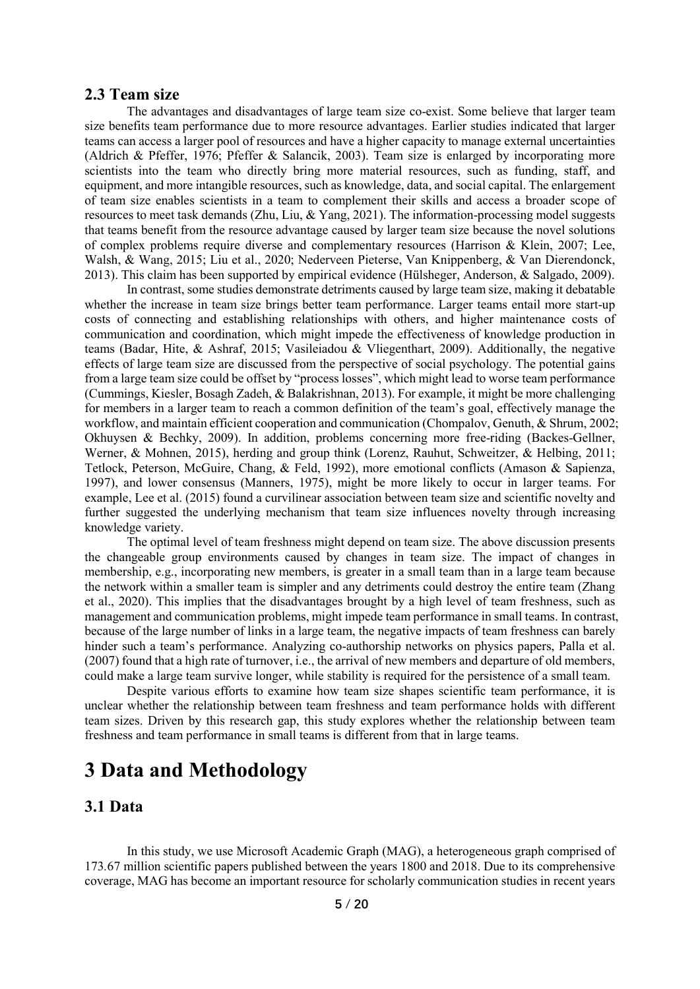#### **2.3 Team size**

The advantages and disadvantages of large team size co-exist. Some believe that larger team size benefits team performance due to more resource advantages. Earlier studies indicated that larger teams can access a larger pool of resources and have a higher capacity to manage external uncertainties (Aldrich & Pfeffer, 1976; Pfeffer & Salancik, 2003). Team size is enlarged by incorporating more scientists into the team who directly bring more material resources, such as funding, staff, and equipment, and more intangible resources, such as knowledge, data, and social capital. The enlargement of team size enables scientists in a team to complement their skills and access a broader scope of resources to meet task demands (Zhu, Liu, & Yang, 2021). The information-processing model suggests that teams benefit from the resource advantage caused by larger team size because the novel solutions of complex problems require diverse and complementary resources (Harrison & Klein, 2007; Lee, Walsh, & Wang, 2015; Liu et al., 2020; Nederveen Pieterse, Van Knippenberg, & Van Dierendonck, 2013). This claim has been supported by empirical evidence (Hülsheger, Anderson, & Salgado, 2009).

In contrast, some studies demonstrate detriments caused by large team size, making it debatable whether the increase in team size brings better team performance. Larger teams entail more start-up costs of connecting and establishing relationships with others, and higher maintenance costs of communication and coordination, which might impede the effectiveness of knowledge production in teams (Badar, Hite, & Ashraf, 2015; Vasileiadou & Vliegenthart, 2009). Additionally, the negative effects of large team size are discussed from the perspective of social psychology. The potential gains from a large team size could be offset by "process losses", which might lead to worse team performance (Cummings, Kiesler, Bosagh Zadeh, & Balakrishnan, 2013). For example, it might be more challenging for members in a larger team to reach a common definition of the team's goal, effectively manage the workflow, and maintain efficient cooperation and communication (Chompalov, Genuth, & Shrum, 2002; Okhuysen & Bechky, 2009). In addition, problems concerning more free-riding (Backes-Gellner, Werner, & Mohnen, 2015), herding and group think (Lorenz, Rauhut, Schweitzer, & Helbing, 2011; Tetlock, Peterson, McGuire, Chang, & Feld, 1992), more emotional conflicts (Amason & Sapienza, 1997), and lower consensus (Manners, 1975), might be more likely to occur in larger teams. For example, Lee et al. (2015) found a curvilinear association between team size and scientific novelty and further suggested the underlying mechanism that team size influences novelty through increasing knowledge variety.

The optimal level of team freshness might depend on team size. The above discussion presents the changeable group environments caused by changes in team size. The impact of changes in membership, e.g., incorporating new members, is greater in a small team than in a large team because the network within a smaller team is simpler and any detriments could destroy the entire team (Zhang et al., 2020). This implies that the disadvantages brought by a high level of team freshness, such as management and communication problems, might impede team performance in small teams. In contrast, because of the large number of links in a large team, the negative impacts of team freshness can barely hinder such a team's performance. Analyzing co-authorship networks on physics papers, Palla et al. (2007) found that a high rate of turnover, i.e., the arrival of new members and departure of old members, could make a large team survive longer, while stability is required for the persistence of a small team.

Despite various efforts to examine how team size shapes scientific team performance, it is unclear whether the relationship between team freshness and team performance holds with different team sizes. Driven by this research gap, this study explores whether the relationship between team freshness and team performance in small teams is different from that in large teams.

## **3 Data and Methodology**

### **3.1 Data**

In this study, we use Microsoft Academic Graph (MAG), a heterogeneous graph comprised of 173*.*67 million scientific papers published between the years 1800 and 2018. Due to its comprehensive coverage, MAG has become an important resource for scholarly communication studies in recent years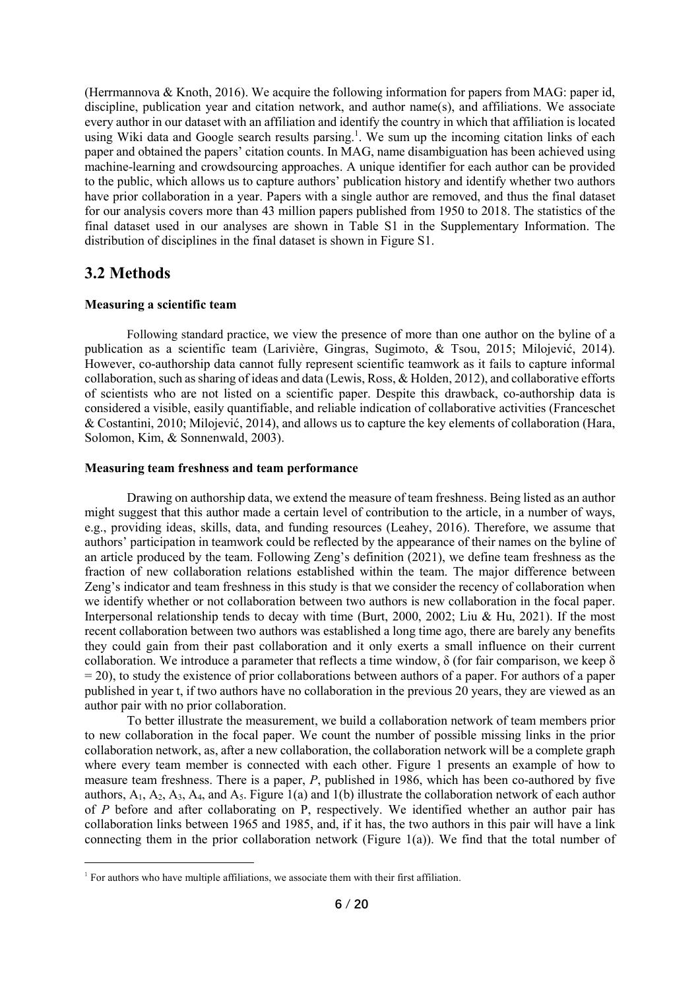(Herrmannova & Knoth, 2016). We acquire the following information for papers from MAG: paper id, discipline, publication year and citation network, and author name(s), and affiliations. We associate every author in our dataset with an affiliation and identify the country in which that affiliation is located using Wiki data and Google search results parsing.<sup>1</sup>. We sum up the incoming citation links of each paper and obtained the papers' citation counts. In MAG, name disambiguation has been achieved using machine-learning and crowdsourcing approaches. A unique identifier for each author can be provided to the public, which allows us to capture authors' publication history and identify whether two authors have prior collaboration in a year. Papers with a single author are removed, and thus the final dataset for our analysis covers more than 43 million papers published from 1950 to 2018. The statistics of the final dataset used in our analyses are shown in Table S1 in the Supplementary Information. The distribution of disciplines in the final dataset is shown in Figure S1.

### **3.2 Methods**

#### **Measuring a scientific team**

Following standard practice, we view the presence of more than one author on the byline of a publication as a scientific team (Larivière, Gingras, Sugimoto, & Tsou, 2015; Milojević, 2014). However, co-authorship data cannot fully represent scientific teamwork as it fails to capture informal collaboration, such as sharing of ideas and data (Lewis, Ross, & Holden, 2012), and collaborative efforts of scientists who are not listed on a scientific paper. Despite this drawback, co-authorship data is considered a visible, easily quantifiable, and reliable indication of collaborative activities (Franceschet & Costantini, 2010; Milojević, 2014), and allows us to capture the key elements of collaboration (Hara, Solomon, Kim, & Sonnenwald, 2003).

#### **Measuring team freshness and team performance**

Drawing on authorship data, we extend the measure of team freshness. Being listed as an author might suggest that this author made a certain level of contribution to the article, in a number of ways, e.g., providing ideas, skills, data, and funding resources (Leahey, 2016). Therefore, we assume that authors' participation in teamwork could be reflected by the appearance of their names on the byline of an article produced by the team. Following Zeng's definition (2021), we define team freshness as the fraction of new collaboration relations established within the team. The major difference between Zeng's indicator and team freshness in this study is that we consider the recency of collaboration when we identify whether or not collaboration between two authors is new collaboration in the focal paper. Interpersonal relationship tends to decay with time (Burt, 2000, 2002; Liu & Hu, 2021). If the most recent collaboration between two authors was established a long time ago, there are barely any benefits they could gain from their past collaboration and it only exerts a small influence on their current collaboration. We introduce a parameter that reflects a time window,  $\delta$  (for fair comparison, we keep  $\delta$  $= 20$ ), to study the existence of prior collaborations between authors of a paper. For authors of a paper published in year t, if two authors have no collaboration in the previous 20 years, they are viewed as an author pair with no prior collaboration.

To better illustrate the measurement, we build a collaboration network of team members prior to new collaboration in the focal paper. We count the number of possible missing links in the prior collaboration network, as, after a new collaboration, the collaboration network will be a complete graph where every team member is connected with each other. Figure 1 presents an example of how to measure team freshness. There is a paper, *P*, published in 1986, which has been co-authored by five authors,  $A_1$ ,  $A_2$ ,  $A_3$ ,  $A_4$ , and  $A_5$ . Figure 1(a) and 1(b) illustrate the collaboration network of each author of *P* before and after collaborating on P, respectively. We identified whether an author pair has collaboration links between 1965 and 1985, and, if it has, the two authors in this pair will have a link connecting them in the prior collaboration network (Figure 1(a)). We find that the total number of

 $1$  For authors who have multiple affiliations, we associate them with their first affiliation.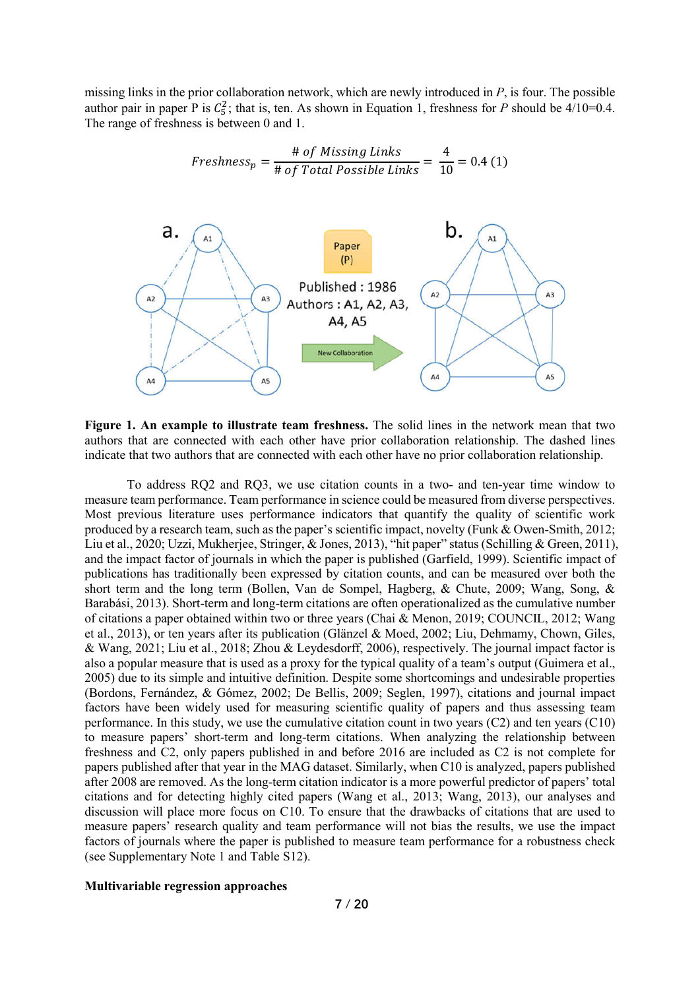missing links in the prior collaboration network, which are newly introduced in *P*, is four. The possible author pair in paper P is  $C_5^2$ ; that is, ten. As shown in Equation 1, freshness for P should be 4/10=0.4. The range of freshness is between 0 and 1.





**Figure 1. An example to illustrate team freshness.** The solid lines in the network mean that two authors that are connected with each other have prior collaboration relationship. The dashed lines indicate that two authors that are connected with each other have no prior collaboration relationship.

To address RQ2 and RQ3, we use citation counts in a two- and ten-year time window to measure team performance. Team performance in science could be measured from diverse perspectives. Most previous literature uses performance indicators that quantify the quality of scientific work produced by a research team, such as the paper's scientific impact, novelty (Funk & Owen-Smith, 2012; Liu et al., 2020; Uzzi, Mukherjee, Stringer, & Jones, 2013), "hit paper" status (Schilling & Green, 2011), and the impact factor of journals in which the paper is published (Garfield, 1999). Scientific impact of publications has traditionally been expressed by citation counts, and can be measured over both the short term and the long term (Bollen, Van de Sompel, Hagberg, & Chute, 2009; Wang, Song, & Barabási, 2013). Short-term and long-term citations are often operationalized as the cumulative number of citations a paper obtained within two or three years (Chai & Menon, 2019; COUNCIL, 2012; Wang et al., 2013), or ten years after its publication (Glänzel & Moed, 2002; Liu, Dehmamy, Chown, Giles, & Wang, 2021; Liu et al., 2018; Zhou & Leydesdorff, 2006), respectively. The journal impact factor is also a popular measure that is used as a proxy for the typical quality of a team's output (Guimera et al., 2005) due to its simple and intuitive definition. Despite some shortcomings and undesirable properties (Bordons, Fernández, & Gómez, 2002; De Bellis, 2009; Seglen, 1997), citations and journal impact factors have been widely used for measuring scientific quality of papers and thus assessing team performance. In this study, we use the cumulative citation count in two years (C2) and ten years (C10) to measure papers' short-term and long-term citations. When analyzing the relationship between freshness and C2, only papers published in and before 2016 are included as C2 is not complete for papers published after that year in the MAG dataset. Similarly, when C10 is analyzed, papers published after 2008 are removed. As the long-term citation indicator is a more powerful predictor of papers' total citations and for detecting highly cited papers (Wang et al., 2013; Wang, 2013), our analyses and discussion will place more focus on C10. To ensure that the drawbacks of citations that are used to measure papers' research quality and team performance will not bias the results, we use the impact factors of journals where the paper is published to measure team performance for a robustness check (see Supplementary Note 1 and Table S12).

#### **Multivariable regression approaches**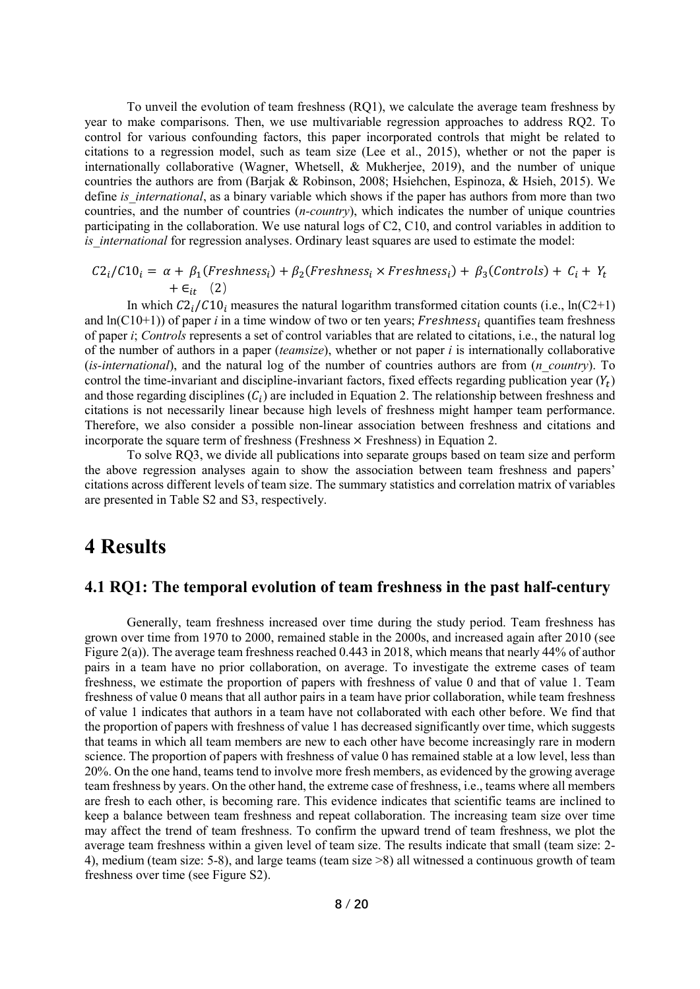To unveil the evolution of team freshness (RQ1), we calculate the average team freshness by year to make comparisons. Then, we use multivariable regression approaches to address RQ2. To control for various confounding factors, this paper incorporated controls that might be related to citations to a regression model, such as team size (Lee et al., 2015), whether or not the paper is internationally collaborative (Wagner, Whetsell, & Mukherjee, 2019), and the number of unique countries the authors are from (Barjak & Robinson, 2008; Hsiehchen, Espinoza, & Hsieh, 2015). We define *is* international, as a binary variable which shows if the paper has authors from more than two countries, and the number of countries (*n-country*), which indicates the number of unique countries participating in the collaboration. We use natural logs of C2, C10, and control variables in addition to *is international* for regression analyses. Ordinary least squares are used to estimate the model:

$$
C2_i/C10_i = \alpha + \beta_1(Freshness_i) + \beta_2(Freshness_i \times Freshness_i) + \beta_3(Controls) + C_i + Y_t + \epsilon_{it} \quad (2)
$$

In which  $C2<sub>i</sub>/C10<sub>i</sub>$  measures the natural logarithm transformed citation counts (i.e., ln(C2+1) and  $ln(C10+1)$ ) of paper *i* in a time window of two or ten years; *Freshness<sub>i</sub>* quantifies team freshness of paper *i*; *Controls* represents a set of control variables that are related to citations, i.e., the natural log of the number of authors in a paper (*teamsize*), whether or not paper *i* is internationally collaborative (*is-international*), and the natural log of the number of countries authors are from (*n\_country*). To control the time-invariant and discipline-invariant factors, fixed effects regarding publication year  $(Y_t)$ and those regarding disciplines  $(C_i)$  are included in Equation 2. The relationship between freshness and citations is not necessarily linear because high levels of freshness might hamper team performance. Therefore, we also consider a possible non-linear association between freshness and citations and incorporate the square term of freshness (Freshness  $\times$  Freshness) in Equation 2.

To solve RQ3, we divide all publications into separate groups based on team size and perform the above regression analyses again to show the association between team freshness and papers' citations across different levels of team size. The summary statistics and correlation matrix of variables are presented in Table S2 and S3, respectively.

## **4 Results**

### **4.1 RQ1: The temporal evolution of team freshness in the past half-century**

Generally, team freshness increased over time during the study period. Team freshness has grown over time from 1970 to 2000, remained stable in the 2000s, and increased again after 2010 (see Figure 2(a)). The average team freshness reached 0.443 in 2018, which means that nearly 44% of author pairs in a team have no prior collaboration, on average. To investigate the extreme cases of team freshness, we estimate the proportion of papers with freshness of value 0 and that of value 1. Team freshness of value 0 means that all author pairs in a team have prior collaboration, while team freshness of value 1 indicates that authors in a team have not collaborated with each other before. We find that the proportion of papers with freshness of value 1 has decreased significantly over time, which suggests that teams in which all team members are new to each other have become increasingly rare in modern science. The proportion of papers with freshness of value 0 has remained stable at a low level, less than 20%. On the one hand, teams tend to involve more fresh members, as evidenced by the growing average team freshness by years. On the other hand, the extreme case of freshness, i.e., teams where all members are fresh to each other, is becoming rare. This evidence indicates that scientific teams are inclined to keep a balance between team freshness and repeat collaboration. The increasing team size over time may affect the trend of team freshness. To confirm the upward trend of team freshness, we plot the average team freshness within a given level of team size. The results indicate that small (team size: 2- 4), medium (team size: 5-8), and large teams (team size >8) all witnessed a continuous growth of team freshness over time (see Figure S2).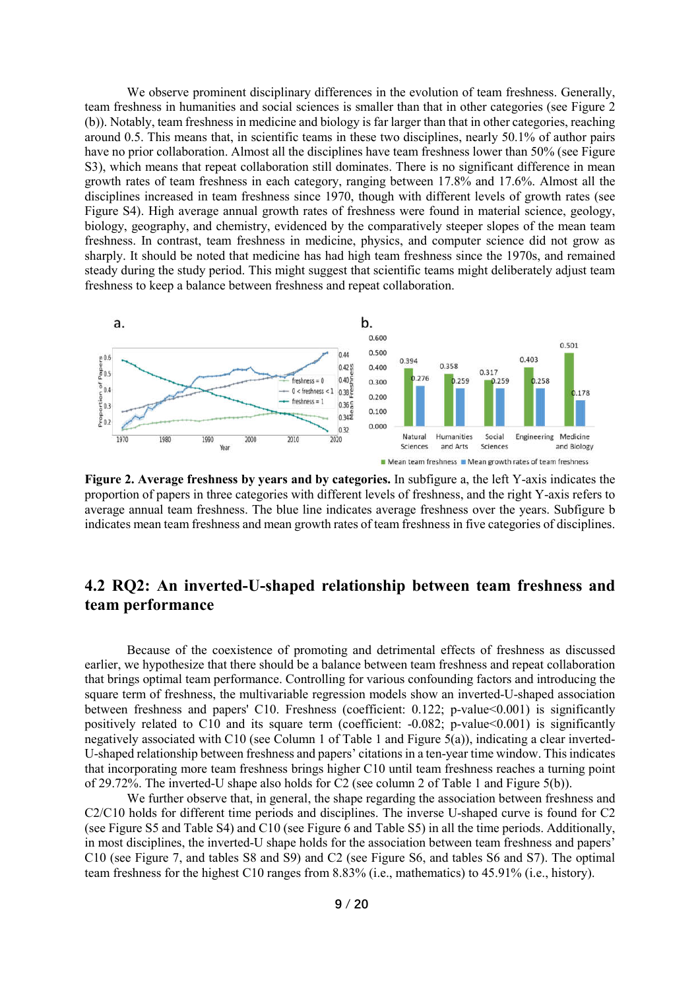We observe prominent disciplinary differences in the evolution of team freshness. Generally, team freshness in humanities and social sciences is smaller than that in other categories (see Figure 2 (b)). Notably, team freshness in medicine and biology is far larger than that in other categories, reaching around 0.5. This means that, in scientific teams in these two disciplines, nearly 50.1% of author pairs have no prior collaboration. Almost all the disciplines have team freshness lower than 50% (see Figure S3), which means that repeat collaboration still dominates. There is no significant difference in mean growth rates of team freshness in each category, ranging between 17.8% and 17.6%. Almost all the disciplines increased in team freshness since 1970, though with different levels of growth rates (see Figure S4). High average annual growth rates of freshness were found in material science, geology, biology, geography, and chemistry, evidenced by the comparatively steeper slopes of the mean team freshness. In contrast, team freshness in medicine, physics, and computer science did not grow as sharply. It should be noted that medicine has had high team freshness since the 1970s, and remained steady during the study period. This might suggest that scientific teams might deliberately adjust team freshness to keep a balance between freshness and repeat collaboration.



**Figure 2. Average freshness by years and by categories.** In subfigure a, the left Y-axis indicates the proportion of papers in three categories with different levels of freshness, and the right Y-axis refers to average annual team freshness. The blue line indicates average freshness over the years. Subfigure b indicates mean team freshness and mean growth rates of team freshness in five categories of disciplines.

### **4.2 RQ2: An inverted-U-shaped relationship between team freshness and team performance**

Because of the coexistence of promoting and detrimental effects of freshness as discussed earlier, we hypothesize that there should be a balance between team freshness and repeat collaboration that brings optimal team performance. Controlling for various confounding factors and introducing the square term of freshness, the multivariable regression models show an inverted-U-shaped association between freshness and papers' C10. Freshness (coefficient: 0.122; p-value<0.001) is significantly positively related to C10 and its square term (coefficient: -0.082; p-value<0.001) is significantly negatively associated with C10 (see Column 1 of Table 1 and Figure  $5(a)$ ), indicating a clear inverted-U-shaped relationship between freshness and papers' citations in a ten-year time window. This indicates that incorporating more team freshness brings higher C10 until team freshness reaches a turning point of 29.72%. The inverted-U shape also holds for C2 (see column 2 of Table 1 and Figure 5(b)).

We further observe that, in general, the shape regarding the association between freshness and C2/C10 holds for different time periods and disciplines. The inverse U-shaped curve is found for C2 (see Figure S5 and Table S4) and C10 (see Figure 6 and Table S5) in all the time periods. Additionally, in most disciplines, the inverted-U shape holds for the association between team freshness and papers' C10 (see Figure 7, and tables S8 and S9) and C2 (see Figure S6, and tables S6 and S7). The optimal team freshness for the highest C10 ranges from 8.83% (i.e., mathematics) to 45.91% (i.e., history).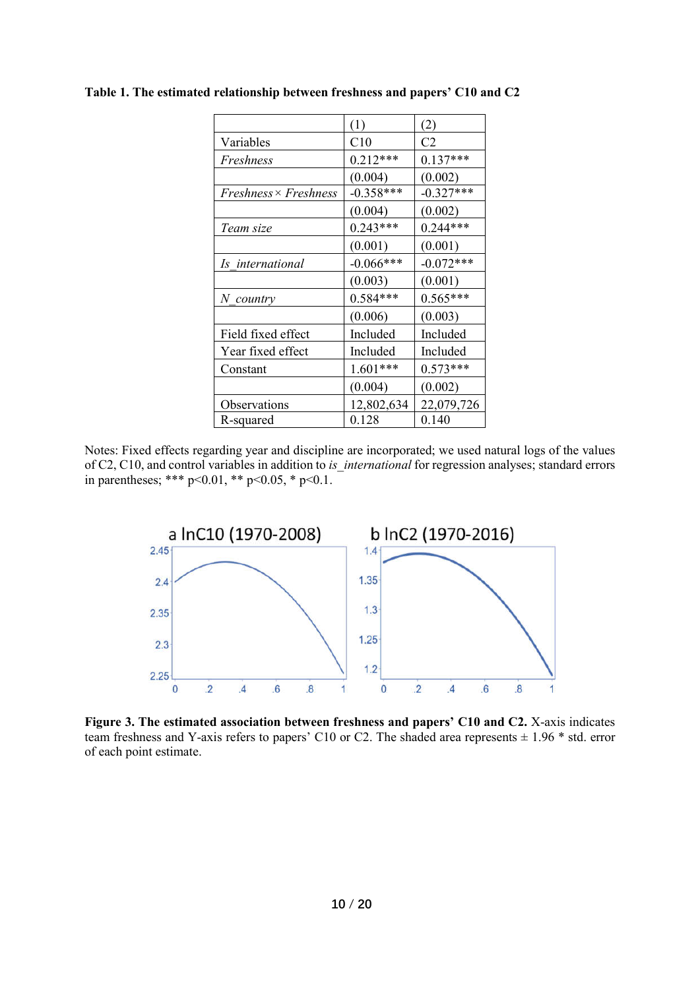|                              | (1)          | (2)         |
|------------------------------|--------------|-------------|
| Variables                    | C10          | C2          |
| Freshness                    | $0.212***$   | $0.137***$  |
|                              | (0.004)      | (0.002)     |
| $Freshness \times Freshness$ | $-0.358***$  | $-0.327***$ |
|                              | (0.004)      | (0.002)     |
| Team size                    | $0.243***$   | $0.244***$  |
|                              | (0.001)      | (0.001)     |
| Is international             | $-0.066$ *** | $-0.072***$ |
|                              | (0.003)      | (0.001)     |
| N country                    | $0.584***$   | $0.565***$  |
|                              | (0.006)      | (0.003)     |
| Field fixed effect           | Included     | Included    |
| Year fixed effect            | Included     | Included    |
| Constant                     | $1.601***$   | $0.573***$  |
|                              | (0.004)      | (0.002)     |
| Observations                 | 12,802,634   | 22,079,726  |
| R-squared                    | 0.128        | 0.140       |

**Table 1. The estimated relationship between freshness and papers' C10 and C2**

Notes: Fixed effects regarding year and discipline are incorporated; we used natural logs of the values of C2, C10, and control variables in addition to *is* international for regression analyses; standard errors in parentheses; \*\*\* p<0.01, \*\* p<0.05, \* p<0.1.



**Figure 3. The estimated association between freshness and papers' C10 and C2.** X-axis indicates team freshness and Y-axis refers to papers' C10 or C2. The shaded area represents  $\pm$  1.96  $*$  std. error of each point estimate.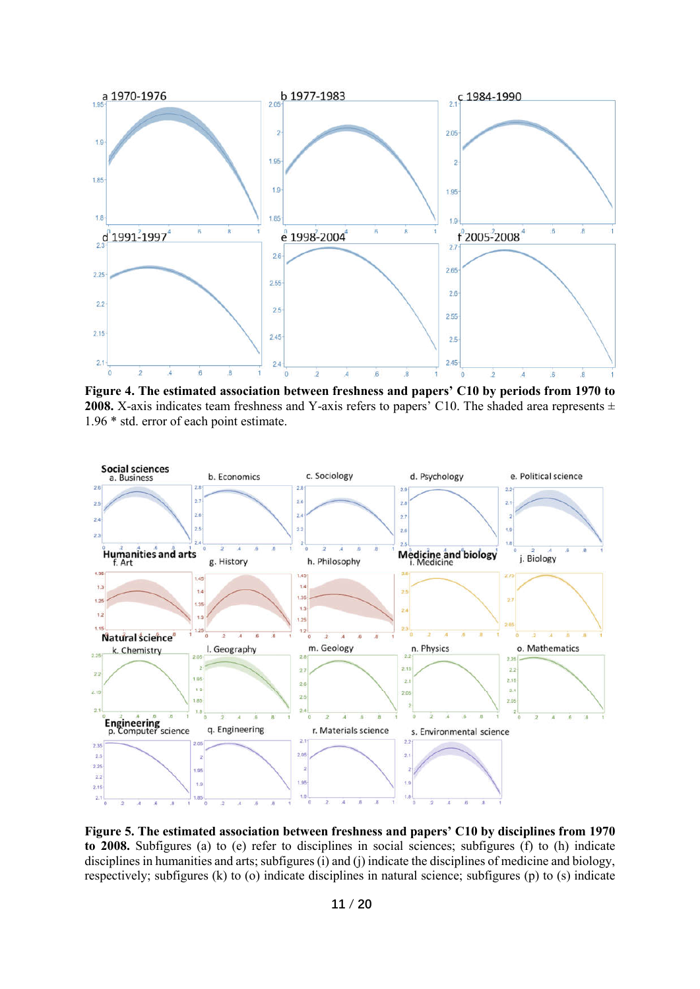

**Figure 4. The estimated association between freshness and papers' C10 by periods from 1970 to 2008.** X-axis indicates team freshness and Y-axis refers to papers' C10. The shaded area represents ± 1.96 \* std. error of each point estimate.



**Figure 5. The estimated association between freshness and papers' C10 by disciplines from 1970 to 2008.** Subfigures (a) to (e) refer to disciplines in social sciences; subfigures (f) to (h) indicate disciplines in humanities and arts; subfigures (i) and (j) indicate the disciplines of medicine and biology, respectively; subfigures (k) to (o) indicate disciplines in natural science; subfigures (p) to (s) indicate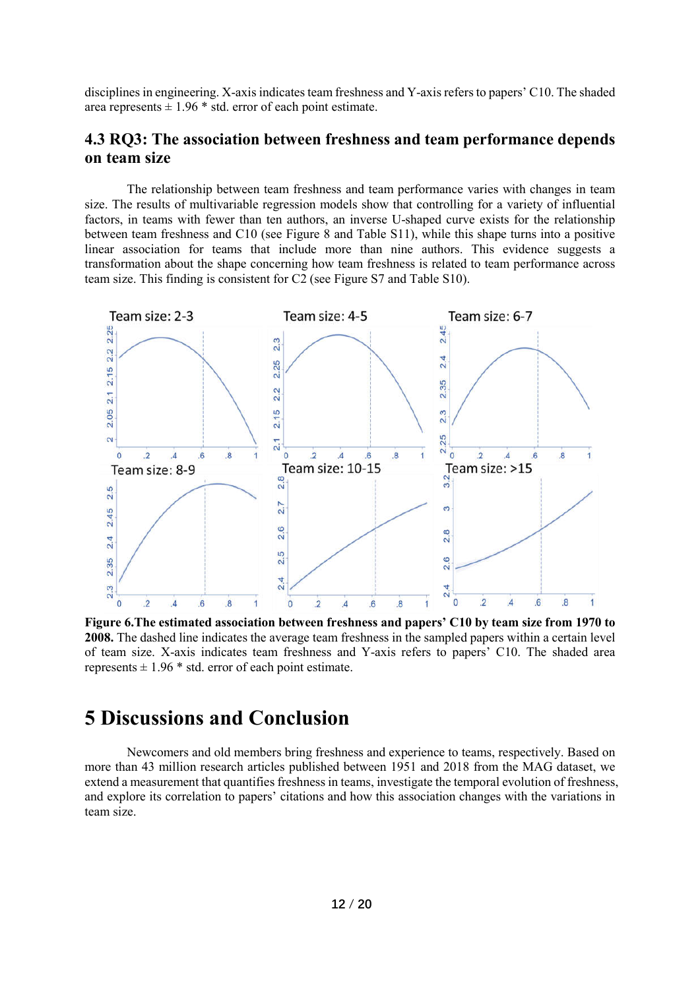disciplines in engineering. X-axis indicates team freshness and Y-axis refers to papers' C10. The shaded area represents  $\pm 1.96$  \* std. error of each point estimate.

### **4.3 RQ3: The association between freshness and team performance depends on team size**

The relationship between team freshness and team performance varies with changes in team size. The results of multivariable regression models show that controlling for a variety of influential factors, in teams with fewer than ten authors, an inverse U-shaped curve exists for the relationship between team freshness and C10 (see Figure 8 and Table S11), while this shape turns into a positive linear association for teams that include more than nine authors. This evidence suggests a transformation about the shape concerning how team freshness is related to team performance across team size. This finding is consistent for C2 (see Figure S7 and Table S10).



**Figure 6.The estimated association between freshness and papers' C10 by team size from 1970 to 2008.** The dashed line indicates the average team freshness in the sampled papers within a certain level of team size. X-axis indicates team freshness and Y-axis refers to papers' C10. The shaded area represents  $\pm$  1.96  $*$  std. error of each point estimate.

## **5 Discussions and Conclusion**

Newcomers and old members bring freshness and experience to teams, respectively. Based on more than 43 million research articles published between 1951 and 2018 from the MAG dataset, we extend a measurement that quantifies freshness in teams, investigate the temporal evolution of freshness, and explore its correlation to papers' citations and how this association changes with the variations in team size.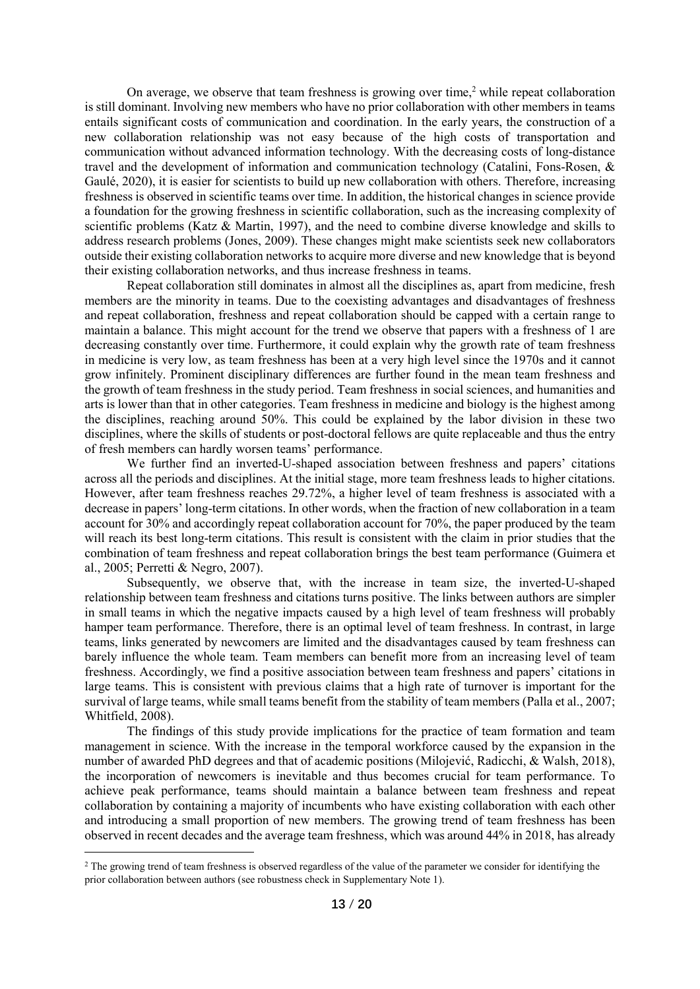On average, we observe that team freshness is growing over time,<sup>2</sup> while repeat collaboration is still dominant. Involving new members who have no prior collaboration with other members in teams entails significant costs of communication and coordination. In the early years, the construction of a new collaboration relationship was not easy because of the high costs of transportation and communication without advanced information technology. With the decreasing costs of long-distance travel and the development of information and communication technology (Catalini, Fons-Rosen, & Gaulé, 2020), it is easier for scientists to build up new collaboration with others. Therefore, increasing freshness is observed in scientific teams over time. In addition, the historical changes in science provide a foundation for the growing freshness in scientific collaboration, such as the increasing complexity of scientific problems (Katz & Martin, 1997), and the need to combine diverse knowledge and skills to address research problems (Jones, 2009). These changes might make scientists seek new collaborators outside their existing collaboration networks to acquire more diverse and new knowledge that is beyond their existing collaboration networks, and thus increase freshness in teams.

Repeat collaboration still dominates in almost all the disciplines as, apart from medicine, fresh members are the minority in teams. Due to the coexisting advantages and disadvantages of freshness and repeat collaboration, freshness and repeat collaboration should be capped with a certain range to maintain a balance. This might account for the trend we observe that papers with a freshness of 1 are decreasing constantly over time. Furthermore, it could explain why the growth rate of team freshness in medicine is very low, as team freshness has been at a very high level since the 1970s and it cannot grow infinitely. Prominent disciplinary differences are further found in the mean team freshness and the growth of team freshness in the study period. Team freshness in social sciences, and humanities and arts is lower than that in other categories. Team freshness in medicine and biology is the highest among the disciplines, reaching around 50%. This could be explained by the labor division in these two disciplines, where the skills of students or post-doctoral fellows are quite replaceable and thus the entry of fresh members can hardly worsen teams' performance.

We further find an inverted-U-shaped association between freshness and papers' citations across all the periods and disciplines. At the initial stage, more team freshness leads to higher citations. However, after team freshness reaches 29.72%, a higher level of team freshness is associated with a decrease in papers' long-term citations. In other words, when the fraction of new collaboration in a team account for 30% and accordingly repeat collaboration account for 70%, the paper produced by the team will reach its best long-term citations. This result is consistent with the claim in prior studies that the combination of team freshness and repeat collaboration brings the best team performance (Guimera et al., 2005; Perretti & Negro, 2007).

Subsequently, we observe that, with the increase in team size, the inverted-U-shaped relationship between team freshness and citations turns positive. The links between authors are simpler in small teams in which the negative impacts caused by a high level of team freshness will probably hamper team performance. Therefore, there is an optimal level of team freshness. In contrast, in large teams, links generated by newcomers are limited and the disadvantages caused by team freshness can barely influence the whole team. Team members can benefit more from an increasing level of team freshness. Accordingly, we find a positive association between team freshness and papers' citations in large teams. This is consistent with previous claims that a high rate of turnover is important for the survival of large teams, while small teams benefit from the stability of team members (Palla et al., 2007; Whitfield, 2008).

The findings of this study provide implications for the practice of team formation and team management in science. With the increase in the temporal workforce caused by the expansion in the number of awarded PhD degrees and that of academic positions (Milojević, Radicchi, & Walsh, 2018), the incorporation of newcomers is inevitable and thus becomes crucial for team performance. To achieve peak performance, teams should maintain a balance between team freshness and repeat collaboration by containing a majority of incumbents who have existing collaboration with each other and introducing a small proportion of new members. The growing trend of team freshness has been observed in recent decades and the average team freshness, which was around 44% in 2018, has already

-

<sup>&</sup>lt;sup>2</sup> The growing trend of team freshness is observed regardless of the value of the parameter we consider for identifying the prior collaboration between authors (see robustness check in Supplementary Note 1).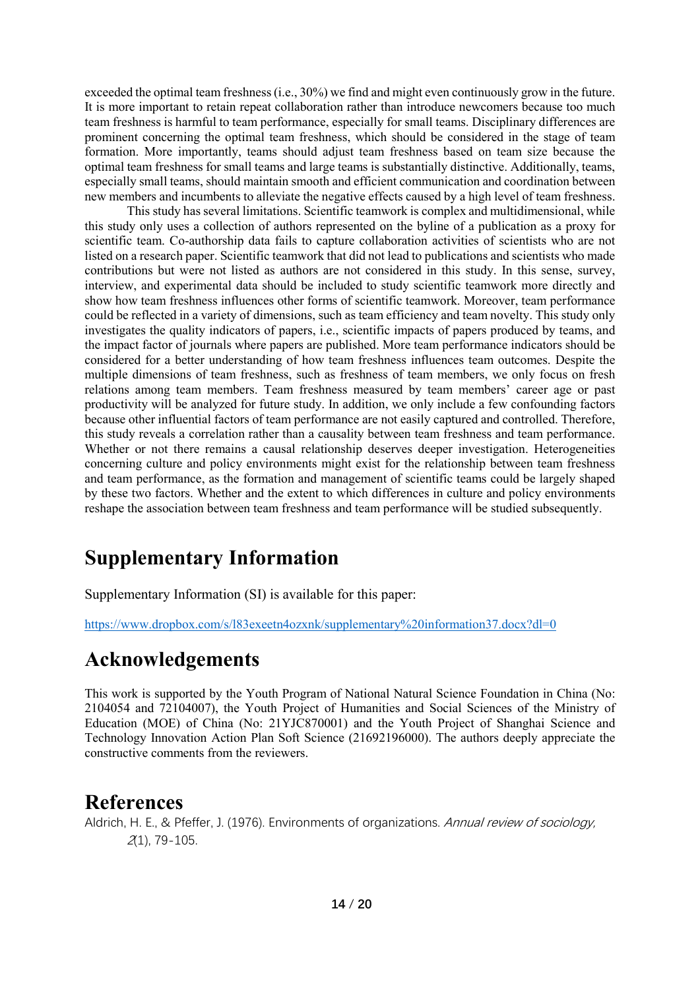exceeded the optimal team freshness(i.e., 30%) we find and might even continuously grow in the future. It is more important to retain repeat collaboration rather than introduce newcomers because too much team freshness is harmful to team performance, especially for small teams. Disciplinary differences are prominent concerning the optimal team freshness, which should be considered in the stage of team formation. More importantly, teams should adjust team freshness based on team size because the optimal team freshness for small teams and large teams is substantially distinctive. Additionally, teams, especially small teams, should maintain smooth and efficient communication and coordination between new members and incumbents to alleviate the negative effects caused by a high level of team freshness.

This study has several limitations. Scientific teamwork is complex and multidimensional, while this study only uses a collection of authors represented on the byline of a publication as a proxy for scientific team. Co-authorship data fails to capture collaboration activities of scientists who are not listed on a research paper. Scientific teamwork that did not lead to publications and scientists who made contributions but were not listed as authors are not considered in this study. In this sense, survey, interview, and experimental data should be included to study scientific teamwork more directly and show how team freshness influences other forms of scientific teamwork. Moreover, team performance could be reflected in a variety of dimensions, such as team efficiency and team novelty. This study only investigates the quality indicators of papers, i.e., scientific impacts of papers produced by teams, and the impact factor of journals where papers are published. More team performance indicators should be considered for a better understanding of how team freshness influences team outcomes. Despite the multiple dimensions of team freshness, such as freshness of team members, we only focus on fresh relations among team members. Team freshness measured by team members' career age or past productivity will be analyzed for future study. In addition, we only include a few confounding factors because other influential factors of team performance are not easily captured and controlled. Therefore, this study reveals a correlation rather than a causality between team freshness and team performance. Whether or not there remains a causal relationship deserves deeper investigation. Heterogeneities concerning culture and policy environments might exist for the relationship between team freshness and team performance, as the formation and management of scientific teams could be largely shaped by these two factors. Whether and the extent to which differences in culture and policy environments reshape the association between team freshness and team performance will be studied subsequently.

# **Supplementary Information**

Supplementary Information (SI) is available for this paper:

https://www.dropbox.com/s/l83exeetn4ozxnk/supplementary%20information37.docx?dl=0

## **Acknowledgements**

This work is supported by the Youth Program of National Natural Science Foundation in China (No: 2104054 and 72104007), the Youth Project of Humanities and Social Sciences of the Ministry of Education (MOE) of China (No: 21YJC870001) and the Youth Project of Shanghai Science and Technology Innovation Action Plan Soft Science (21692196000). The authors deeply appreciate the constructive comments from the reviewers.

## **References**

Aldrich, H. E., & Pfeffer, J. (1976). Environments of organizations. Annual review of sociology, 2(1), 79-105.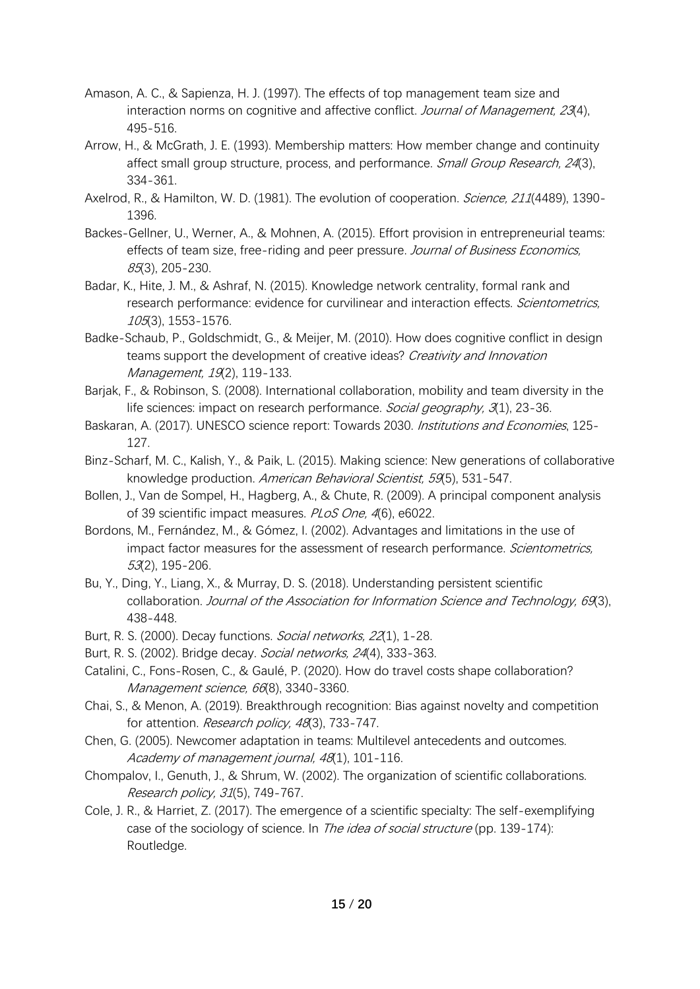- Amason, A. C., & Sapienza, H. J. (1997). The effects of top management team size and interaction norms on cognitive and affective conflict. Journal of Management, 23(4), 495-516.
- Arrow, H., & McGrath, J. E. (1993). Membership matters: How member change and continuity affect small group structure, process, and performance. *Small Group Research, 24*(3), 334-361.
- Axelrod, R., & Hamilton, W. D. (1981). The evolution of cooperation. Science, 211(4489), 1390-1396.
- Backes-Gellner, U., Werner, A., & Mohnen, A. (2015). Effort provision in entrepreneurial teams: effects of team size, free-riding and peer pressure. Journal of Business Economics, 85(3), 205-230.
- Badar, K., Hite, J. M., & Ashraf, N. (2015). Knowledge network centrality, formal rank and research performance: evidence for curvilinear and interaction effects. Scientometrics, 105(3), 1553-1576.
- Badke-Schaub, P., Goldschmidt, G., & Meijer, M. (2010). How does cognitive conflict in design teams support the development of creative ideas? Creativity and Innovation Management, 19(2), 119-133.
- Barjak, F., & Robinson, S. (2008). International collaboration, mobility and team diversity in the life sciences: impact on research performance. Social geography, 3(1), 23-36.
- Baskaran, A. (2017). UNESCO science report: Towards 2030. *Institutions and Economies*, 125-127.
- Binz-Scharf, M. C., Kalish, Y., & Paik, L. (2015). Making science: New generations of collaborative knowledge production. American Behavioral Scientist, 59(5), 531-547.
- Bollen, J., Van de Sompel, H., Hagberg, A., & Chute, R. (2009). A principal component analysis of 39 scientific impact measures. PLoS One, 4(6), e6022.
- Bordons, M., Fernández, M., & Gómez, I. (2002). Advantages and limitations in the use of impact factor measures for the assessment of research performance. Scientometrics, 53(2), 195-206.
- Bu, Y., Ding, Y., Liang, X., & Murray, D. S. (2018). Understanding persistent scientific collaboration. Journal of the Association for Information Science and Technology, 69(3), 438-448.
- Burt, R. S. (2000). Decay functions. Social networks, 22(1), 1-28.
- Burt, R. S. (2002). Bridge decay. Social networks, 24(4), 333-363.
- Catalini, C., Fons-Rosen, C., & Gaulé, P. (2020). How do travel costs shape collaboration? Management science, 66(8), 3340-3360.
- Chai, S., & Menon, A. (2019). Breakthrough recognition: Bias against novelty and competition for attention. Research policy, 48(3), 733-747.
- Chen, G. (2005). Newcomer adaptation in teams: Multilevel antecedents and outcomes. Academy of management journal, 48(1), 101-116.
- Chompalov, I., Genuth, J., & Shrum, W. (2002). The organization of scientific collaborations. Research policy, 31(5), 749-767.
- Cole, J. R., & Harriet, Z. (2017). The emergence of a scientific specialty: The self-exemplifying case of the sociology of science. In The idea of social structure (pp. 139-174): Routledge.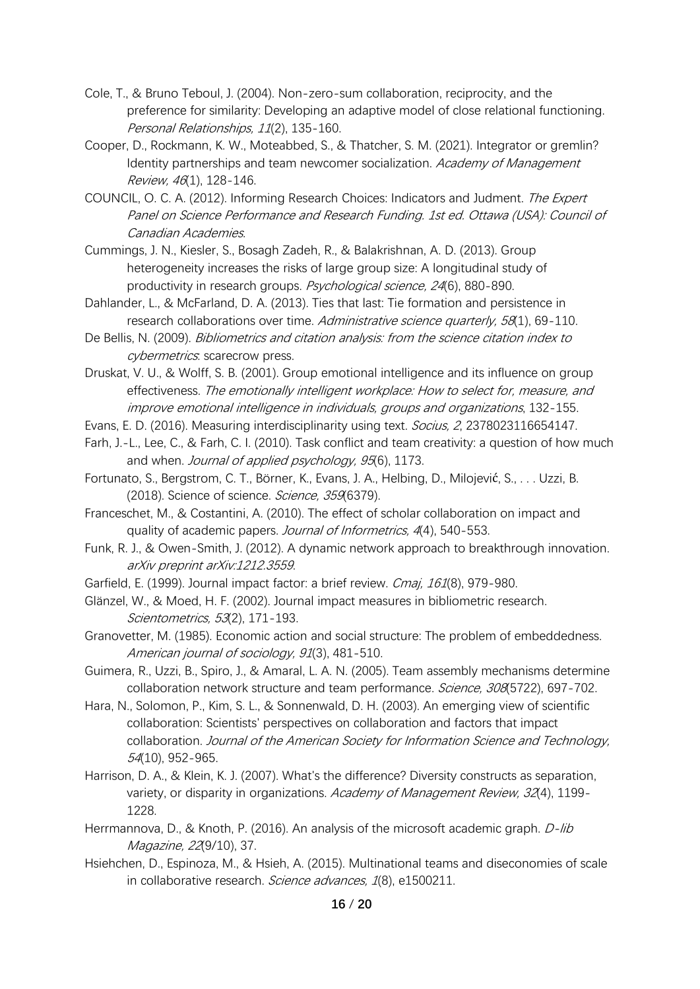- Cole, T., & Bruno Teboul, J. (2004). Non-zero-sum collaboration, reciprocity, and the preference for similarity: Developing an adaptive model of close relational functioning. Personal Relationships, 11(2), 135-160.
- Cooper, D., Rockmann, K. W., Moteabbed, S., & Thatcher, S. M. (2021). Integrator or gremlin? Identity partnerships and team newcomer socialization. Academy of Management Review, 46(1), 128-146.
- COUNCIL, O. C. A. (2012). Informing Research Choices: Indicators and Judment. The Expert Panel on Science Performance and Research Funding. 1st ed. Ottawa (USA): Council of Canadian Academies.
- Cummings, J. N., Kiesler, S., Bosagh Zadeh, R., & Balakrishnan, A. D. (2013). Group heterogeneity increases the risks of large group size: A longitudinal study of productivity in research groups. Psychological science, 24(6), 880-890.
- Dahlander, L., & McFarland, D. A. (2013). Ties that last: Tie formation and persistence in research collaborations over time. Administrative science quarterly, 58(1), 69-110.
- De Bellis, N. (2009). Bibliometrics and citation analysis: from the science citation index to cybermetrics. scarecrow press.
- Druskat, V. U., & Wolff, S. B. (2001). Group emotional intelligence and its influence on group effectiveness. The emotionally intelligent workplace: How to select for, measure, and improve emotional intelligence in individuals, groups and organizations, 132-155.
- Evans, E. D. (2016). Measuring interdisciplinarity using text. Socius, 2, 2378023116654147.
- Farh, J.-L., Lee, C., & Farh, C. I. (2010). Task conflict and team creativity: a question of how much and when. Journal of applied psychology, 95(6), 1173.
- Fortunato, S., Bergstrom, C. T., Börner, K., Evans, J. A., Helbing, D., Milojević, S., . . . Uzzi, B. (2018). Science of science. Science, 359(6379).
- Franceschet, M., & Costantini, A. (2010). The effect of scholar collaboration on impact and quality of academic papers. Journal of Informetrics, 4(4), 540-553.
- Funk, R. J., & Owen-Smith, J. (2012). A dynamic network approach to breakthrough innovation. arXiv preprint arXiv:1212.3559.
- Garfield, E. (1999). Journal impact factor: a brief review. Cmaj, 161(8), 979-980.
- Glänzel, W., & Moed, H. F. (2002). Journal impact measures in bibliometric research. Scientometrics, 53(2), 171-193.
- Granovetter, M. (1985). Economic action and social structure: The problem of embeddedness. American journal of sociology, 91(3), 481-510.
- Guimera, R., Uzzi, B., Spiro, J., & Amaral, L. A. N. (2005). Team assembly mechanisms determine collaboration network structure and team performance. Science, 308(5722), 697-702.
- Hara, N., Solomon, P., Kim, S. L., & Sonnenwald, D. H. (2003). An emerging view of scientific collaboration: Scientists' perspectives on collaboration and factors that impact collaboration. Journal of the American Society for Information Science and Technology, 54(10), 952-965.
- Harrison, D. A., & Klein, K. J. (2007). What's the difference? Diversity constructs as separation, variety, or disparity in organizations. Academy of Management Review, 32(4), 1199-1228.
- Herrmannova, D., & Knoth, P. (2016). An analysis of the microsoft academic graph. *D-lib* Magazine, 22(9/10), 37.
- Hsiehchen, D., Espinoza, M., & Hsieh, A. (2015). Multinational teams and diseconomies of scale in collaborative research. Science advances, 1(8), e1500211.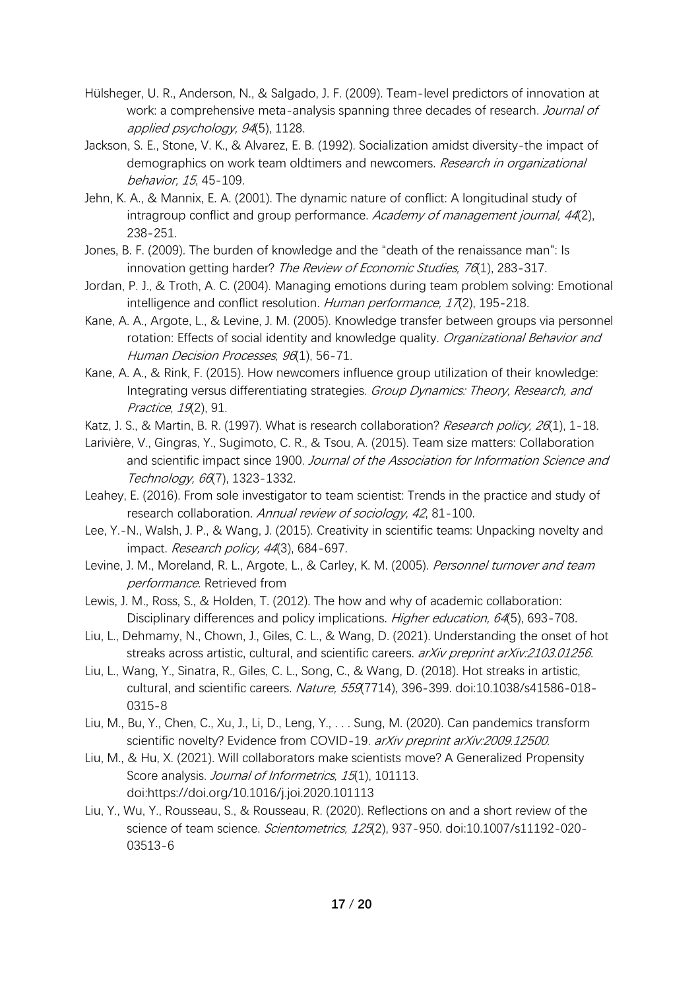- Hülsheger, U. R., Anderson, N., & Salgado, J. F. (2009). Team-level predictors of innovation at work: a comprehensive meta-analysis spanning three decades of research. Journal of applied psychology, 94(5), 1128.
- Jackson, S. E., Stone, V. K., & Alvarez, E. B. (1992). Socialization amidst diversity-the impact of demographics on work team oldtimers and newcomers. Research in organizational behavior, 15, 45-109.
- Jehn, K. A., & Mannix, E. A. (2001). The dynamic nature of conflict: A longitudinal study of intragroup conflict and group performance. Academy of management journal, 44(2), 238-251.
- Jones, B. F. (2009). The burden of knowledge and the "death of the renaissance man": Is innovation getting harder? The Review of Economic Studies, 76(1), 283-317.
- Jordan, P. J., & Troth, A. C. (2004). Managing emotions during team problem solving: Emotional intelligence and conflict resolution. Human performance, 17(2), 195-218.
- Kane, A. A., Argote, L., & Levine, J. M. (2005). Knowledge transfer between groups via personnel rotation: Effects of social identity and knowledge quality. Organizational Behavior and Human Decision Processes, 96(1), 56-71.
- Kane, A. A., & Rink, F. (2015). How newcomers influence group utilization of their knowledge: Integrating versus differentiating strategies. Group Dynamics: Theory, Research, and Practice, 19(2), 91.
- Katz, J. S., & Martin, B. R. (1997). What is research collaboration? Research policy, 26(1), 1-18.
- Larivière, V., Gingras, Y., Sugimoto, C. R., & Tsou, A. (2015). Team size matters: Collaboration and scientific impact since 1900. Journal of the Association for Information Science and Technology, 66(7), 1323-1332.
- Leahey, E. (2016). From sole investigator to team scientist: Trends in the practice and study of research collaboration. Annual review of sociology, 42, 81-100.
- Lee, Y.-N., Walsh, J. P., & Wang, J. (2015). Creativity in scientific teams: Unpacking novelty and impact. Research policy, 44(3), 684-697.
- Levine, J. M., Moreland, R. L., Argote, L., & Carley, K. M. (2005). Personnel turnover and team performance. Retrieved from
- Lewis, J. M., Ross, S., & Holden, T. (2012). The how and why of academic collaboration: Disciplinary differences and policy implications. Higher education, 64(5), 693-708.
- Liu, L., Dehmamy, N., Chown, J., Giles, C. L., & Wang, D. (2021). Understanding the onset of hot streaks across artistic, cultural, and scientific careers. arXiv preprint arXiv:2103.01256.
- Liu, L., Wang, Y., Sinatra, R., Giles, C. L., Song, C., & Wang, D. (2018). Hot streaks in artistic, cultural, and scientific careers. Nature, 559(7714), 396-399. doi:10.1038/s41586-018- 0315-8
- Liu, M., Bu, Y., Chen, C., Xu, J., Li, D., Leng, Y., . . . Sung, M. (2020). Can pandemics transform scientific novelty? Evidence from COVID-19. arXiv preprint arXiv:2009.12500.
- Liu, M., & Hu, X. (2021). Will collaborators make scientists move? A Generalized Propensity Score analysis. Journal of Informetrics, 15(1), 101113. doi:https://doi.org/10.1016/j.joi.2020.101113
- Liu, Y., Wu, Y., Rousseau, S., & Rousseau, R. (2020). Reflections on and a short review of the science of team science. Scientometrics, 125(2), 937-950. doi:10.1007/s11192-020-03513-6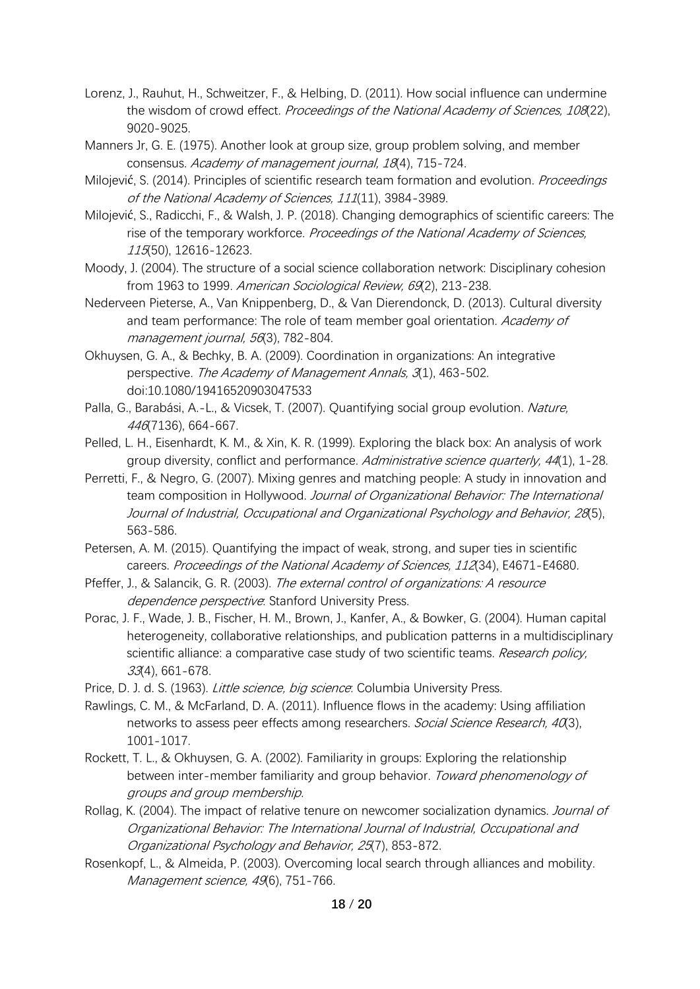- Lorenz, J., Rauhut, H., Schweitzer, F., & Helbing, D. (2011). How social influence can undermine the wisdom of crowd effect. Proceedings of the National Academy of Sciences, 108(22), 9020-9025.
- Manners Jr, G. E. (1975). Another look at group size, group problem solving, and member consensus. Academy of management journal, 18(4), 715-724.
- Milojević, S. (2014). Principles of scientific research team formation and evolution. *Proceedings* of the National Academy of Sciences, 111(11), 3984-3989.
- Milojević, S., Radicchi, F., & Walsh, J. P. (2018). Changing demographics of scientific careers: The rise of the temporary workforce. Proceedings of the National Academy of Sciences, 115(50), 12616-12623.
- Moody, J. (2004). The structure of a social science collaboration network: Disciplinary cohesion from 1963 to 1999. American Sociological Review, 69(2), 213-238.
- Nederveen Pieterse, A., Van Knippenberg, D., & Van Dierendonck, D. (2013). Cultural diversity and team performance: The role of team member goal orientation. Academy of management journal, 56(3), 782-804.
- Okhuysen, G. A., & Bechky, B. A. (2009). Coordination in organizations: An integrative perspective. The Academy of Management Annals, 3(1), 463-502. doi:10.1080/19416520903047533
- Palla, G., Barabási, A.-L., & Vicsek, T. (2007). Quantifying social group evolution. Nature, 446(7136), 664-667.
- Pelled, L. H., Eisenhardt, K. M., & Xin, K. R. (1999). Exploring the black box: An analysis of work group diversity, conflict and performance. Administrative science quarterly, 44(1), 1-28.
- Perretti, F., & Negro, G. (2007). Mixing genres and matching people: A study in innovation and team composition in Hollywood. Journal of Organizational Behavior: The International Journal of Industrial, Occupational and Organizational Psychology and Behavior, 28(5), 563-586.
- Petersen, A. M. (2015). Quantifying the impact of weak, strong, and super ties in scientific careers. Proceedings of the National Academy of Sciences, 112(34), E4671-E4680.
- Pfeffer, J., & Salancik, G. R. (2003). The external control of organizations: A resource dependence perspective: Stanford University Press.
- Porac, J. F., Wade, J. B., Fischer, H. M., Brown, J., Kanfer, A., & Bowker, G. (2004). Human capital heterogeneity, collaborative relationships, and publication patterns in a multidisciplinary scientific alliance: a comparative case study of two scientific teams. Research policy, 33(4), 661-678.
- Price, D. J. d. S. (1963). *Little science, big science*: Columbia University Press.
- Rawlings, C. M., & McFarland, D. A. (2011). Influence flows in the academy: Using affiliation networks to assess peer effects among researchers. Social Science Research, 40(3), 1001-1017.
- Rockett, T. L., & Okhuysen, G. A. (2002). Familiarity in groups: Exploring the relationship between inter-member familiarity and group behavior. Toward phenomenology of groups and group membership.
- Rollag, K. (2004). The impact of relative tenure on newcomer socialization dynamics. *Journal of* Organizational Behavior: The International Journal of Industrial, Occupational and Organizational Psychology and Behavior, 25(7), 853-872.
- Rosenkopf, L., & Almeida, P. (2003). Overcoming local search through alliances and mobility. Management science, 49(6), 751-766.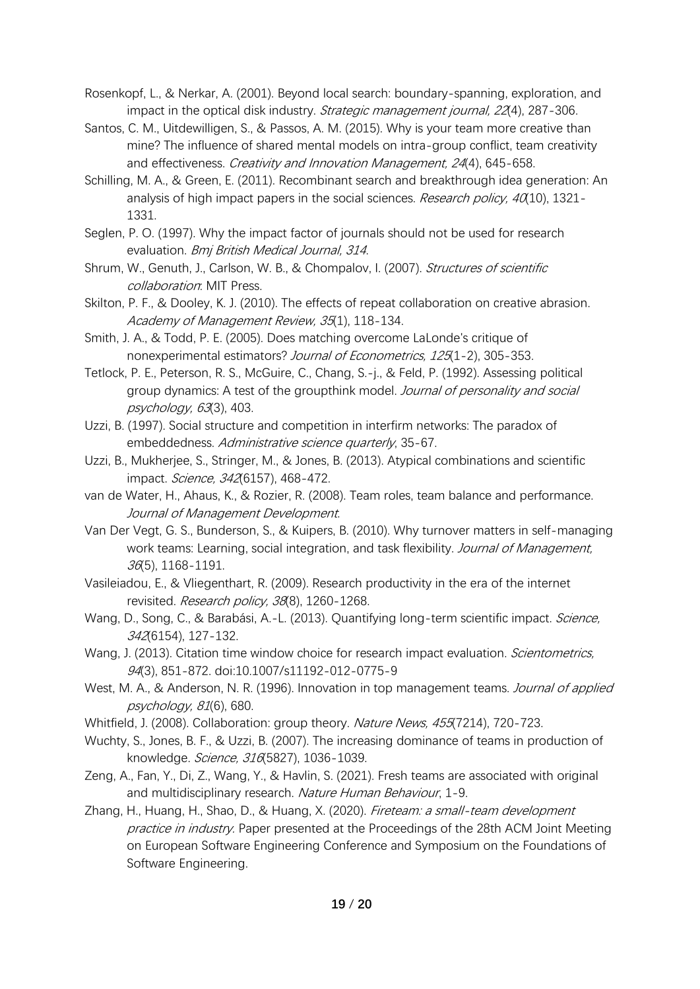Rosenkopf, L., & Nerkar, A. (2001). Beyond local search: boundary-spanning, exploration, and impact in the optical disk industry. Strategic management journal, 22(4), 287-306.

- Santos, C. M., Uitdewilligen, S., & Passos, A. M. (2015). Why is your team more creative than mine? The influence of shared mental models on intra-group conflict, team creativity and effectiveness. Creativity and Innovation Management, 24(4), 645-658.
- Schilling, M. A., & Green, E. (2011). Recombinant search and breakthrough idea generation: An analysis of high impact papers in the social sciences. Research policy,  $40(10)$ , 1321-1331.
- Seglen, P. O. (1997). Why the impact factor of journals should not be used for research evaluation. Bmj British Medical Journal, 314.
- Shrum, W., Genuth, J., Carlson, W. B., & Chompalov, I. (2007). Structures of scientific collaboration: MIT Press.
- Skilton, P. F., & Dooley, K. J. (2010). The effects of repeat collaboration on creative abrasion. Academy of Management Review, 35(1), 118-134.
- Smith, J. A., & Todd, P. E. (2005). Does matching overcome LaLonde's critique of nonexperimental estimators? Journal of Econometrics, 125(1-2), 305-353.
- Tetlock, P. E., Peterson, R. S., McGuire, C., Chang, S.-j., & Feld, P. (1992). Assessing political group dynamics: A test of the groupthink model. Journal of personality and social psychology, 63(3), 403.
- Uzzi, B. (1997). Social structure and competition in interfirm networks: The paradox of embeddedness. Administrative science quarterly, 35-67.
- Uzzi, B., Mukherjee, S., Stringer, M., & Jones, B. (2013). Atypical combinations and scientific impact. Science, 342(6157), 468-472.
- van de Water, H., Ahaus, K., & Rozier, R. (2008). Team roles, team balance and performance. Journal of Management Development.
- Van Der Vegt, G. S., Bunderson, S., & Kuipers, B. (2010). Why turnover matters in self-managing work teams: Learning, social integration, and task flexibility. Journal of Management, 36(5), 1168-1191.
- Vasileiadou, E., & Vliegenthart, R. (2009). Research productivity in the era of the internet revisited. Research policy, 38(8), 1260-1268.
- Wang, D., Song, C., & Barabási, A.-L. (2013). Quantifying long-term scientific impact. Science, 342(6154), 127-132.
- Wang, J. (2013). Citation time window choice for research impact evaluation. Scientometrics, 94(3), 851-872. doi:10.1007/s11192-012-0775-9
- West, M. A., & Anderson, N. R. (1996). Innovation in top management teams. Journal of applied psychology, 81(6), 680.
- Whitfield, J. (2008). Collaboration: group theory. Nature News, 455(7214), 720-723.
- Wuchty, S., Jones, B. F., & Uzzi, B. (2007). The increasing dominance of teams in production of knowledge. Science, 316(5827), 1036-1039.
- Zeng, A., Fan, Y., Di, Z., Wang, Y., & Havlin, S. (2021). Fresh teams are associated with original and multidisciplinary research. Nature Human Behaviour, 1-9.
- Zhang, H., Huang, H., Shao, D., & Huang, X. (2020). Fireteam: a small-team development practice in industry. Paper presented at the Proceedings of the 28th ACM Joint Meeting on European Software Engineering Conference and Symposium on the Foundations of Software Engineering.